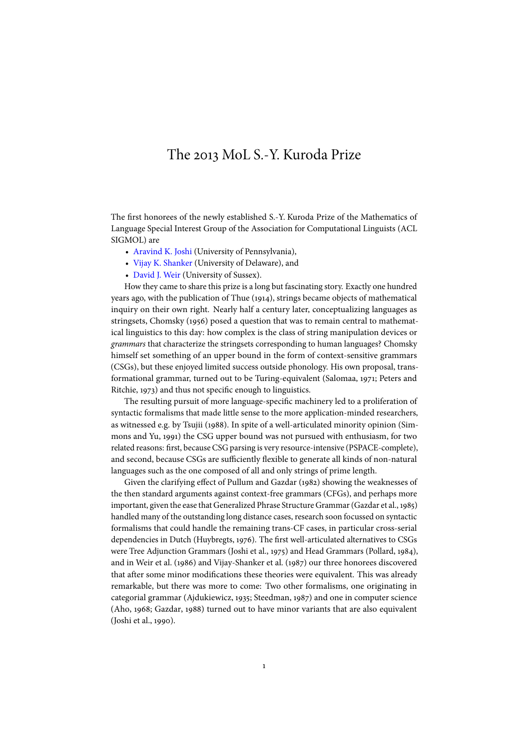## The 2013 MoL S.-Y. Kuroda Prize

The first honorees of the newly established S.-Y. Kuroda Prize of the Mathematics of Language Special Interest Group of the Association for Computational Linguists (ACL SIGMOL) are

- [Aravind K. Joshi](http://www.cis.upenn.edu/~joshi) (University of Pennsylvania),
- [Vijay K. Shanker](http://www.eecis.udel.edu/~vijay) (University of Delaware), and
- [David J. Weir](http://www.sussex.ac.uk/informatics/people/peoplelists/person/2860) (University of Sussex).

How they came to share this prize is a long but fascinating story. Exactly one hundred years ago, with the publication of [Thue](#page-2-0) [\(1914\)](#page-2-0), strings became objects of mathematical inquiry on their own right. Nearly half a century later, conceptualizing languages as stringsets, [Chomsky](#page-2-1) [\(1956\)](#page-2-1) posed a question that was to remain central to mathematical linguistics to this day: how complex is the class of string manipulation devices or grammars that characterize the stringsets corresponding to human languages? Chomsky himself set something of an upper bound in the form of context-sensitive grammars (CSGs), but these enjoyed limited success outside phonology. His own proposal, transformational grammar, turned out to be Turing-equivalent [\(Salomaa,](#page-2-2) [1971;](#page-2-2) [Peters and](#page-2-3) [Ritchie,](#page-2-3) [1973\)](#page-2-3) and thus not specific enough to linguistics.

The resulting pursuit of more language-specific machinery led to a proliferation of syntactic formalisms that made little sense to the more application-minded researchers, as witnessed e.g. by [Tsujii](#page-2-4) [\(1988\)](#page-2-4). In spite of a well-articulated minority opinion [\(Sim](#page-2-5)[mons and Yu,](#page-2-5) [1991\)](#page-2-5) the CSG upper bound was not pursued with enthusiasm, for two related reasons: first, because CSG parsing is very resource-intensive (PSPACE-complete), and second, because CSGs are sufficiently flexible to generate all kinds of non-natural languages such as the one composed of all and only strings of prime length.

Given the clarifying effect of [Pullum and Gazdar](#page-2-6) [\(1982\)](#page-2-6) showing the weaknesses of the then standard arguments against context-free grammars (CFGs), and perhaps more important, given the ease that Generalized Phrase Structure Grammar [\(Gazdar et al.,1985\)](#page-2-7) handled many of the outstanding long distance cases, research soon focussed on syntactic formalisms that could handle the remaining trans-CF cases, in particular cross-serial dependencies in Dutch [\(Huybregts,](#page-2-8) [1976\)](#page-2-8). The first well-articulated alternatives to CSGs were Tree Adjunction Grammars [\(Joshi et al.,](#page-2-9) [1975\)](#page-2-9) and Head Grammars [\(Pollard,](#page-2-10) [1984\)](#page-2-10), and in [Weir et al.](#page-2-11) [\(1986\)](#page-2-11) and [Vijay-Shanker et al.](#page-2-12) [\(1987\)](#page-2-12) our three honorees discovered that after some minor modifications these theories were equivalent. This was already remarkable, but there was more to come: Two other formalisms, one originating in categorial grammar [\(Ajdukiewicz,](#page-2-13) [1935;](#page-2-13) [Steedman,](#page-2-14) [1987\)](#page-2-14) and one in computer science [\(Aho,](#page-2-15) [1968;](#page-2-15) [Gazdar,](#page-2-16) [1988\)](#page-2-16) turned out to have minor variants that are also equivalent [\(Joshi et al.,](#page-2-17) [1990\)](#page-2-17).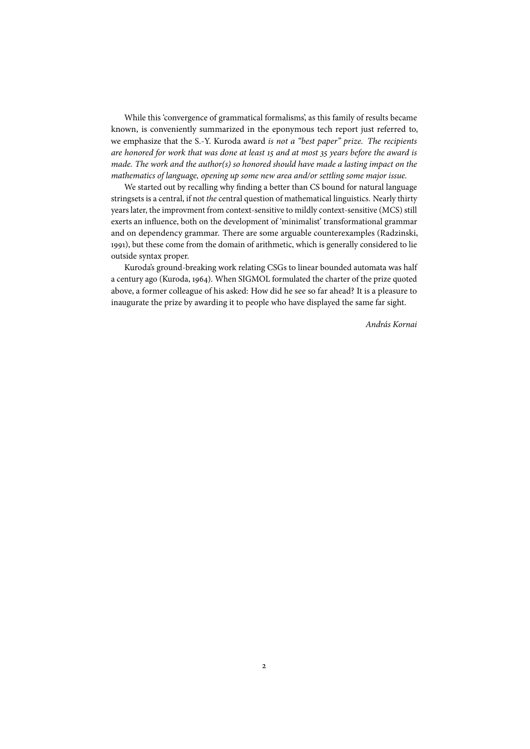While this 'convergence of grammatical formalisms', as this family of results became known, is conveniently summarized in the eponymous tech report just referred to, we emphasize that the S.-Y. Kuroda award is not a "best paper" prize. The recipients are honored for work that was done at least 15 and at most 35 years before the award is made. The work and the author(s) so honored should have made a lasting impact on the mathematics of language, opening up some new area and/or settling some major issue.

We started out by recalling why finding a better than CS bound for natural language stringsets is a central, if not the central question of mathematical linguistics. Nearly thirty years later, the improvment from context-sensitive to mildly context-sensitive (MCS) still exerts an influence, both on the development of 'minimalist' transformational grammar and on dependency grammar. There are some arguable counterexamples [\(Radzinski,](#page-2-18) [1991\)](#page-2-18), but these come from the domain of arithmetic, which is generally considered to lie outside syntax proper.

Kuroda's ground-breaking work relating CSGs to linear bounded automata was half a century ago [\(Kuroda,](#page-2-19) [1964\)](#page-2-19). When SIGMOL formulated the charter of the prize quoted above, a former colleague of his asked: How did he see so far ahead? It is a pleasure to inaugurate the prize by awarding it to people who have displayed the same far sight.

András Kornai